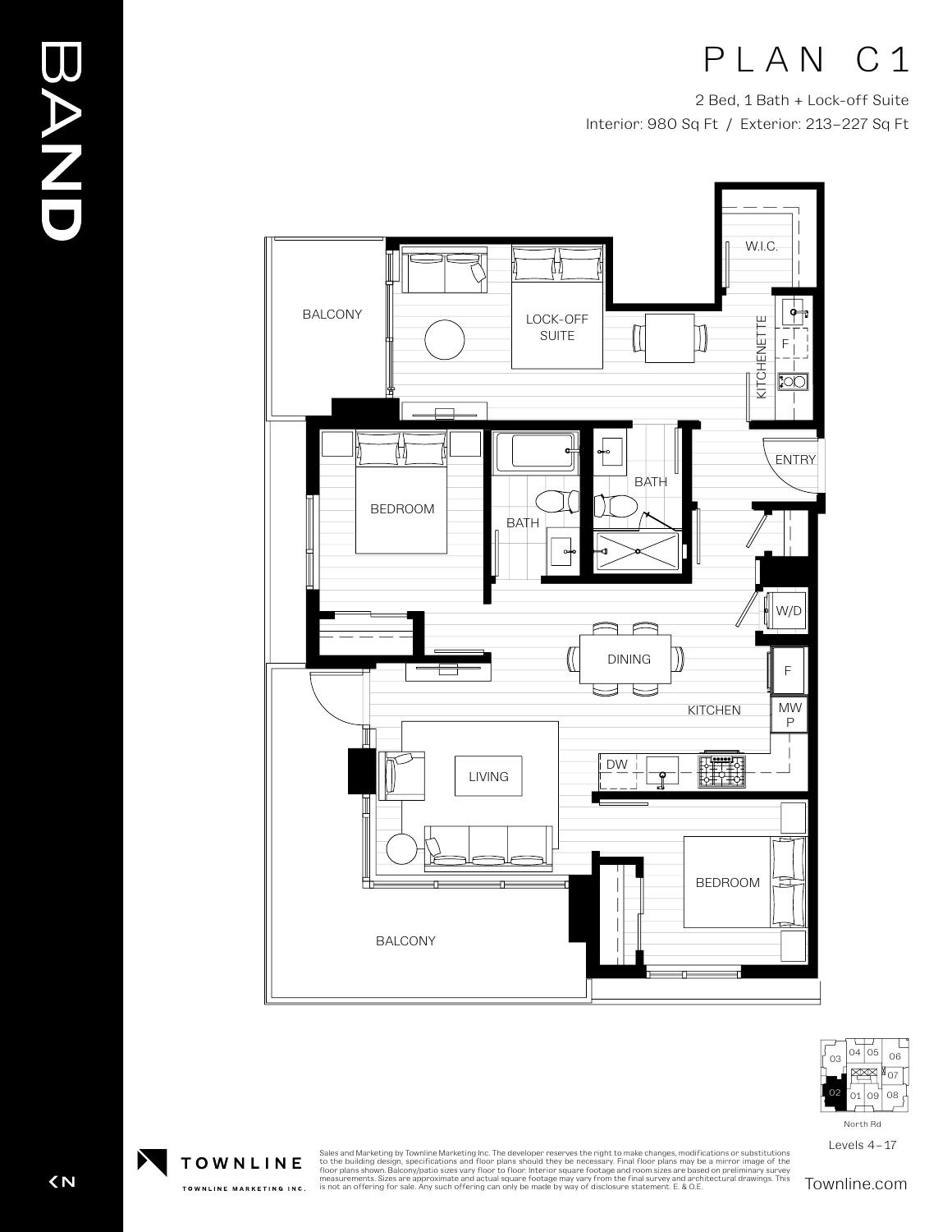# PLAN C1

2 Bed, 1 Bath + Lock-off Suite Interior: 980 Sq Ft / Exterior: 213–227 Sq Ft





Levels 4–17



 $\overline{\left( N\right) }$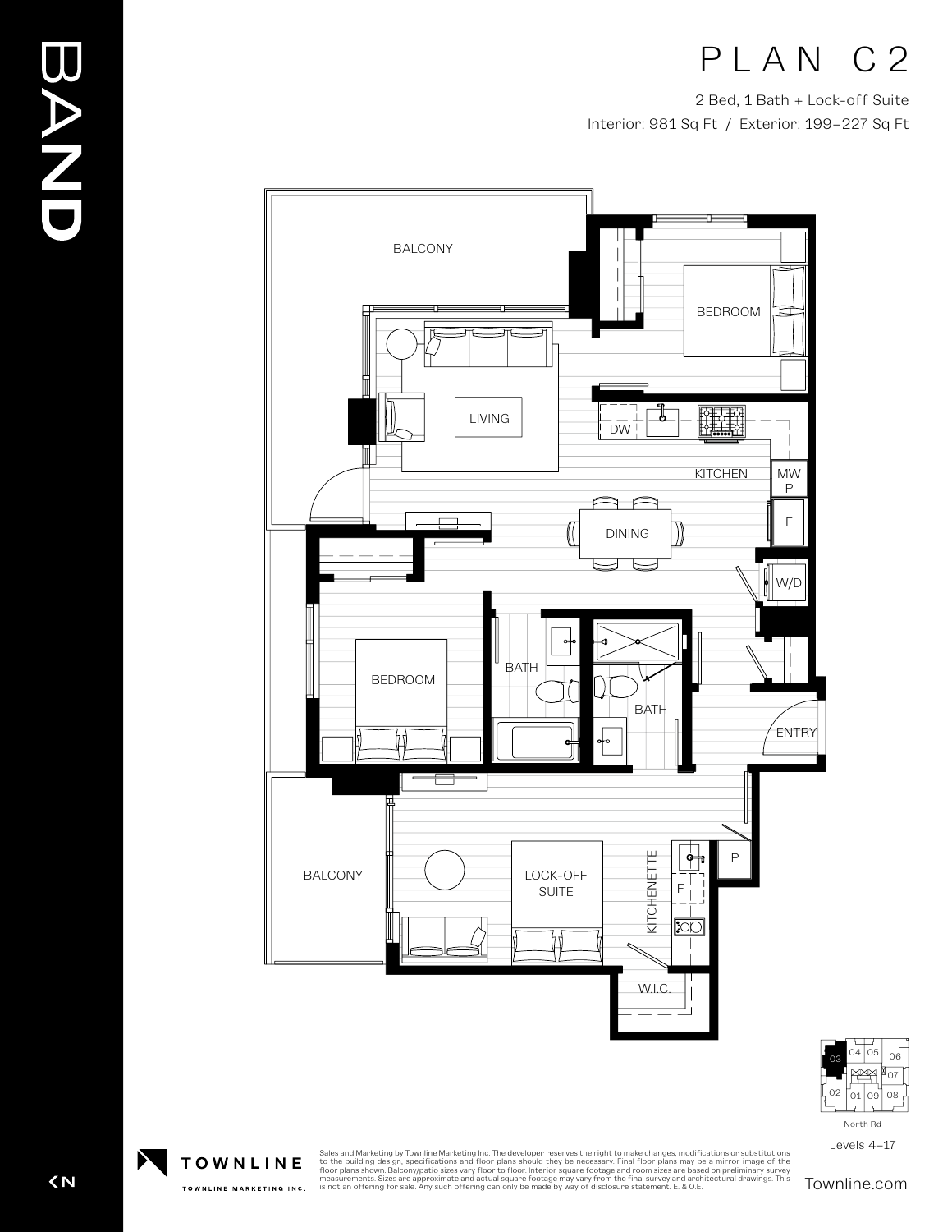## PLAN C2

2 Bed, 1 Bath + Lock-off Suite Interior: 981 Sq Ft / Exterior: 199–227 Sq Ft





Levels 4–17

BAND

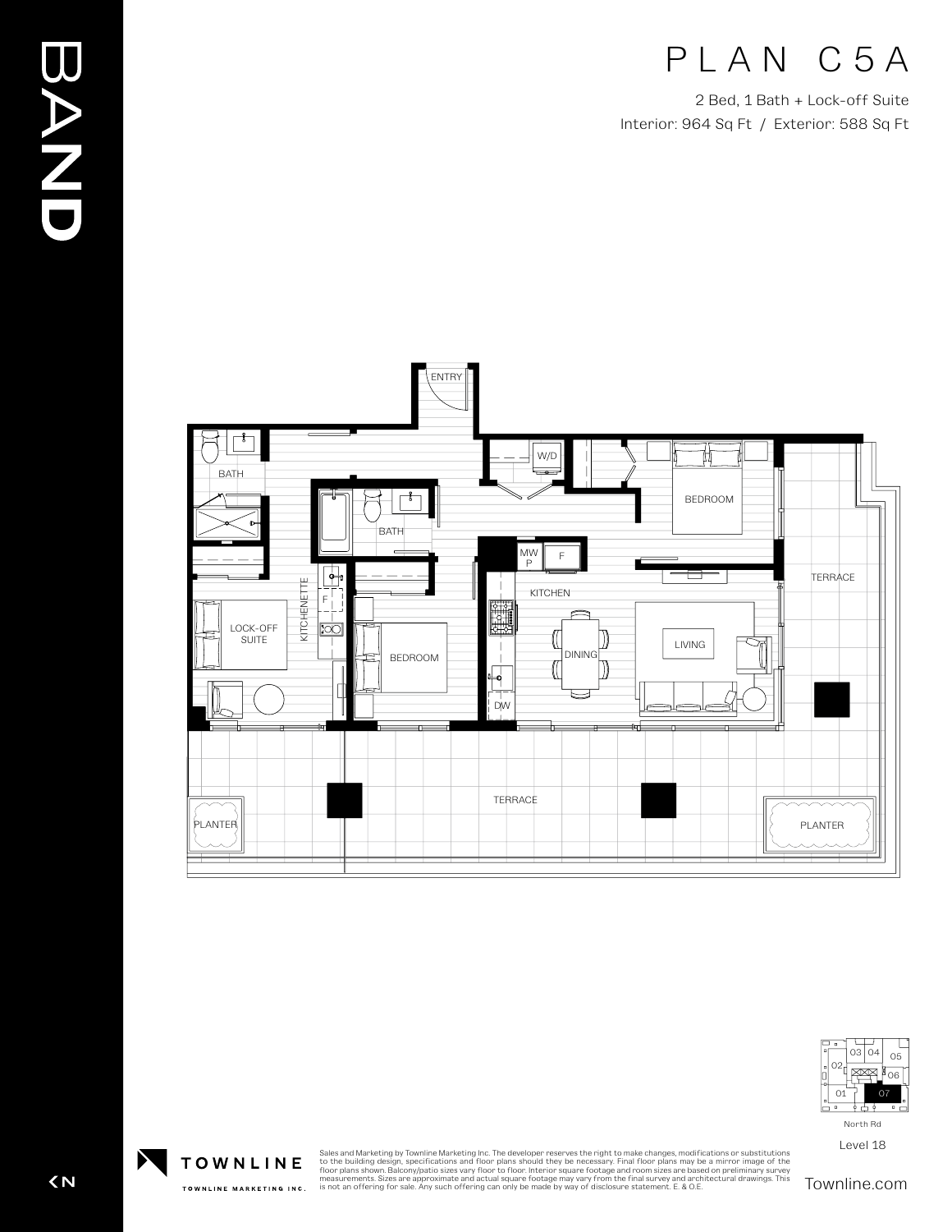#### PLAN C5A

2 Bed, 1 Bath + Lock-off Suite Interior: 964 Sq Ft / Exterior: 588 Sq Ft





Level 18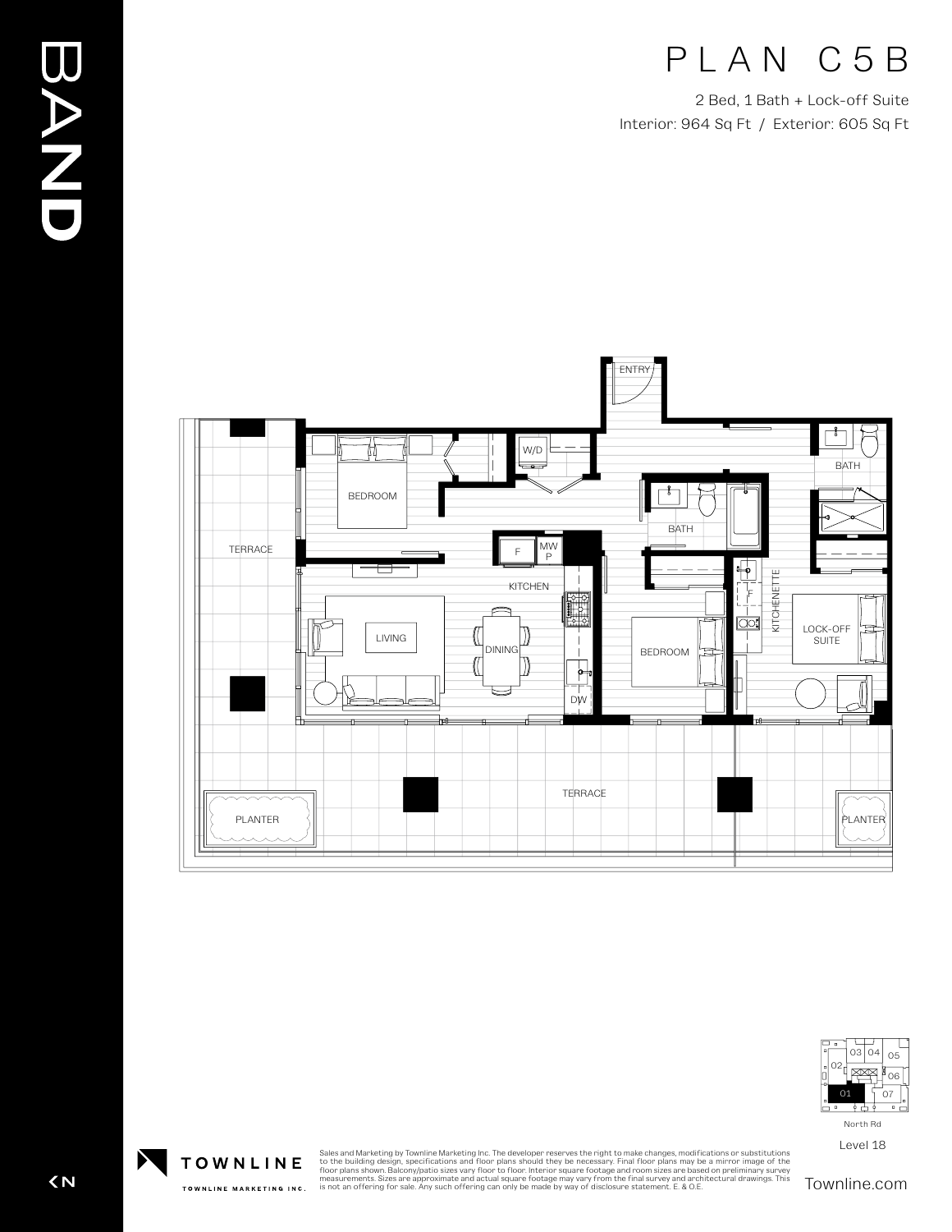## PLAN C5B

2 Bed, 1 Bath + Lock-off Suite Interior: 964 Sq Ft / Exterior: 605 Sq Ft





Level 18

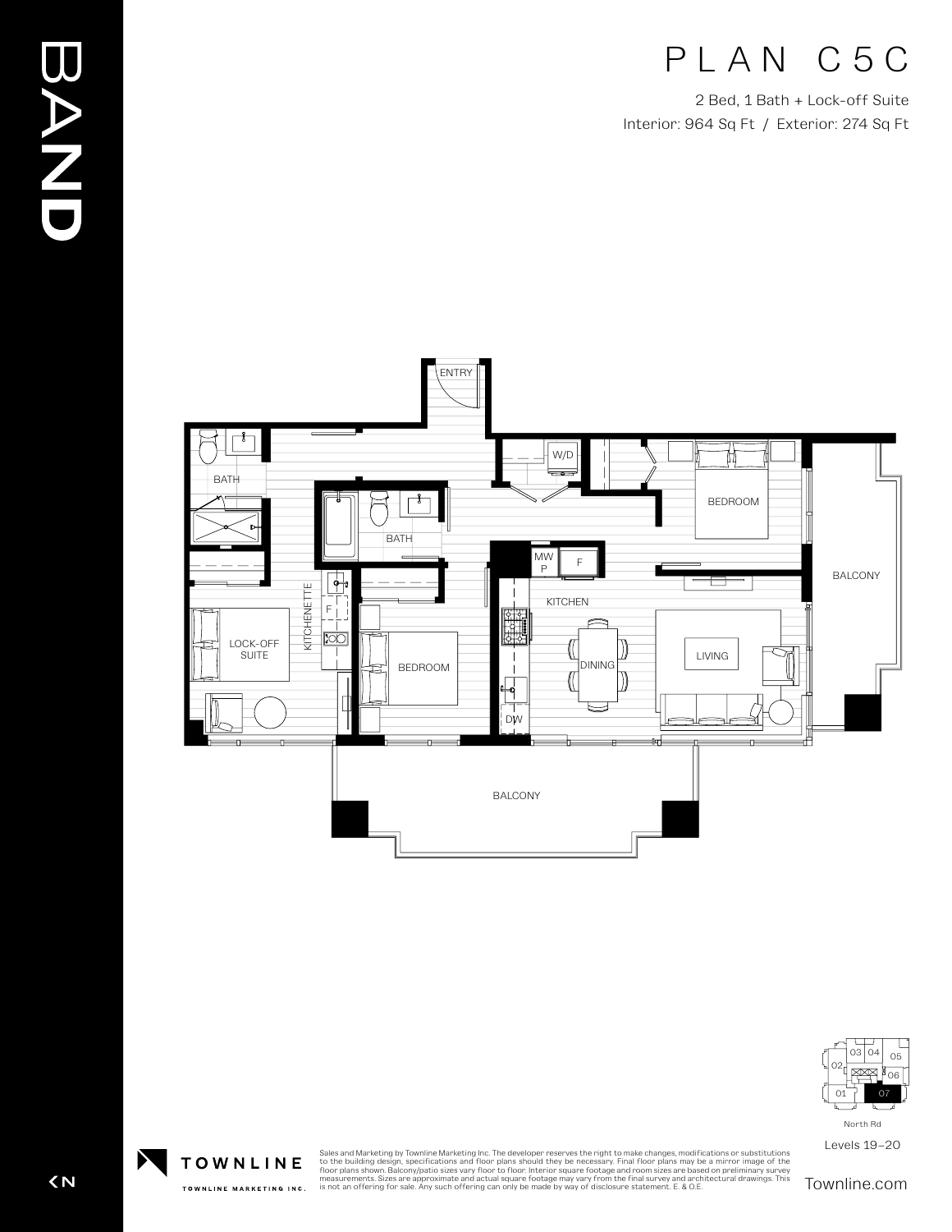# PLAN C5C

2 Bed, 1 Bath + Lock-off Suite Interior: 964 Sq Ft / Exterior: 274 Sq Ft





North Rd

Levels 19–20

 $\overline{\left( N\right) }$